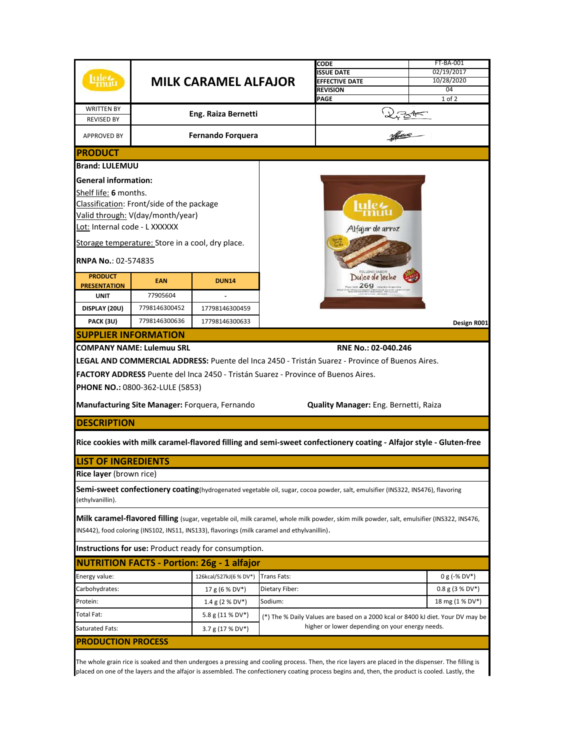|                                        |                                                  |                                                                                              |                                                 | CODE                                                                                                                                      | FT-BA-001         |  |
|----------------------------------------|--------------------------------------------------|----------------------------------------------------------------------------------------------|-------------------------------------------------|-------------------------------------------------------------------------------------------------------------------------------------------|-------------------|--|
|                                        |                                                  |                                                                                              |                                                 | <b>ISSUE DATE</b>                                                                                                                         | 02/19/2017        |  |
|                                        | ulet<br><b>MILK CARAMEL ALFAJOR</b>              |                                                                                              |                                                 | <b>EFFECTIVE DATE</b>                                                                                                                     | 10/28/2020        |  |
|                                        |                                                  |                                                                                              |                                                 | <b>REVISION</b>                                                                                                                           | 04                |  |
|                                        |                                                  |                                                                                              |                                                 | PAGE                                                                                                                                      | 1 of 2            |  |
| <b>WRITTEN BY</b><br><b>REVISED BY</b> |                                                  | Eng. Raiza Bernetti                                                                          |                                                 |                                                                                                                                           |                   |  |
|                                        |                                                  |                                                                                              |                                                 | 27,31                                                                                                                                     |                   |  |
| <b>APPROVED BY</b>                     |                                                  | <b>Fernando Forquera</b>                                                                     |                                                 |                                                                                                                                           |                   |  |
| <b>PRODUCT</b>                         |                                                  |                                                                                              |                                                 |                                                                                                                                           |                   |  |
| <b>Brand: LULEMUU</b>                  |                                                  |                                                                                              |                                                 |                                                                                                                                           |                   |  |
| <b>General information:</b>            |                                                  |                                                                                              |                                                 |                                                                                                                                           |                   |  |
| Shelf life: 6 months.                  |                                                  |                                                                                              | Alfajor de arroz                                |                                                                                                                                           |                   |  |
|                                        | Classification: Front/side of the package        |                                                                                              |                                                 |                                                                                                                                           |                   |  |
|                                        | Valid through: V(day/month/year)                 |                                                                                              |                                                 |                                                                                                                                           |                   |  |
| Lot: Internal code - L XXXXXX          |                                                  |                                                                                              |                                                 |                                                                                                                                           |                   |  |
|                                        | Storage temperature: Store in a cool, dry place. |                                                                                              |                                                 |                                                                                                                                           |                   |  |
| <b>RNPA No.: 02-574835</b>             |                                                  |                                                                                              |                                                 |                                                                                                                                           |                   |  |
|                                        |                                                  |                                                                                              |                                                 |                                                                                                                                           |                   |  |
| <b>PRODUCT</b><br><b>PRESENTATION</b>  | <b>EAN</b>                                       | <b>DUN14</b>                                                                                 |                                                 | Dulce de leche<br>$-269$                                                                                                                  |                   |  |
| <b>UNIT</b>                            | 77905604                                         |                                                                                              |                                                 |                                                                                                                                           |                   |  |
| DISPLAY (20U)                          | 7798146300452                                    | 17798146300459                                                                               |                                                 |                                                                                                                                           |                   |  |
| PACK (3U)                              | 7798146300636                                    | 17798146300633                                                                               |                                                 |                                                                                                                                           | Design R001       |  |
| <b>SUPPLIER INFORMATION</b>            |                                                  |                                                                                              |                                                 |                                                                                                                                           |                   |  |
|                                        |                                                  |                                                                                              |                                                 | RNE No.: 02-040.246                                                                                                                       |                   |  |
|                                        | <b>COMPANY NAME: Lulemuu SRL</b>                 |                                                                                              |                                                 |                                                                                                                                           |                   |  |
|                                        |                                                  |                                                                                              |                                                 | LEGAL AND COMMERCIAL ADDRESS: Puente del Inca 2450 - Tristán Suarez - Province of Buenos Aires.                                           |                   |  |
|                                        |                                                  | <b>FACTORY ADDRESS</b> Puente del Inca 2450 - Tristán Suarez - Province of Buenos Aires.     |                                                 |                                                                                                                                           |                   |  |
|                                        | <b>PHONE NO.: 0800-362-LULE (5853)</b>           |                                                                                              |                                                 |                                                                                                                                           |                   |  |
|                                        |                                                  |                                                                                              |                                                 |                                                                                                                                           |                   |  |
|                                        |                                                  | Manufacturing Site Manager: Forquera, Fernando                                               |                                                 | Quality Manager: Eng. Bernetti, Raiza                                                                                                     |                   |  |
| <b>DESCRIPTION</b>                     |                                                  |                                                                                              |                                                 |                                                                                                                                           |                   |  |
|                                        |                                                  |                                                                                              |                                                 | Rice cookies with milk caramel-flavored filling and semi-sweet confectionery coating - Alfajor style - Gluten-free                        |                   |  |
|                                        |                                                  |                                                                                              |                                                 |                                                                                                                                           |                   |  |
| <b>LIST OF INGREDIENTS</b>             |                                                  |                                                                                              |                                                 |                                                                                                                                           |                   |  |
| Rice layer (brown rice)                |                                                  |                                                                                              |                                                 |                                                                                                                                           |                   |  |
|                                        |                                                  |                                                                                              |                                                 | Semi-sweet confectionery coating(hydrogenated vegetable oil, sugar, cocoa powder, salt, emulsifier (INS322, INS476), flavoring            |                   |  |
| (ethylvanillin).                       |                                                  |                                                                                              |                                                 |                                                                                                                                           |                   |  |
|                                        |                                                  |                                                                                              |                                                 | Milk caramel-flavored filling (sugar, vegetable oil, milk caramel, whole milk powder, skim milk powder, salt, emulsifier (INS322, INS476, |                   |  |
|                                        |                                                  | INS442), food coloring (INS102, INS11, INS133), flavorings (milk caramel and ethylvanillin). |                                                 |                                                                                                                                           |                   |  |
|                                        |                                                  | Instructions for use: Product ready for consumption.                                         |                                                 |                                                                                                                                           |                   |  |
|                                        |                                                  | <b>NUTRITION FACTS - Portion: 26g - 1 alfajor</b>                                            |                                                 |                                                                                                                                           |                   |  |
| Energy value:                          |                                                  | 126kcal/527kJ(6 % DV*)                                                                       | Trans Fats:                                     |                                                                                                                                           | $0 g (-% DV*)$    |  |
| Carbohydrates:                         |                                                  | 17 g (6 % DV*)                                                                               | Dietary Fiber:                                  |                                                                                                                                           | $0.8$ g (3 % DV*) |  |
| Protein:                               |                                                  | 1.4 g (2 % DV*)                                                                              | Sodium:                                         |                                                                                                                                           | 18 mg (1 % DV*)   |  |
| Total Fat:                             |                                                  | 5.8 g (11 % DV*)                                                                             |                                                 | (*) The % Daily Values are based on a 2000 kcal or 8400 kJ diet. Your DV may be                                                           |                   |  |
| <b>Saturated Fats:</b>                 |                                                  | 3.7 g (17 % DV*)                                                                             | higher or lower depending on your energy needs. |                                                                                                                                           |                   |  |
|                                        | <b>PRODUCTION PROCESS</b>                        |                                                                                              |                                                 |                                                                                                                                           |                   |  |
|                                        |                                                  |                                                                                              |                                                 |                                                                                                                                           |                   |  |

The whole grain rice is soaked and then undergoes a pressing and cooling process. Then, the rice layers are placed in the dispenser. The filling is placed on one of the layers and the alfajor is assembled. The confectionery coating process begins and, then, the product is cooled. Lastly, the

I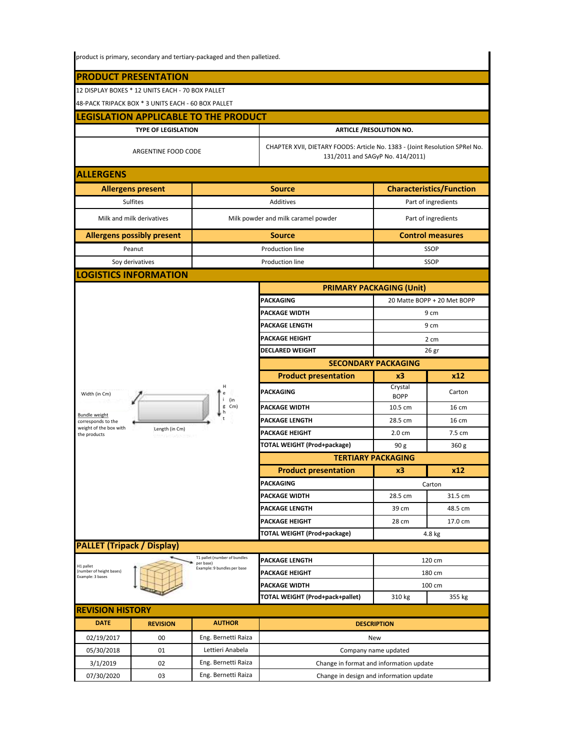|                                                                                 | product is primary, secondary and tertiary-packaged and then palletized. |                                                                          |                                                                                                                 |                                 |                                 |  |  |  |
|---------------------------------------------------------------------------------|--------------------------------------------------------------------------|--------------------------------------------------------------------------|-----------------------------------------------------------------------------------------------------------------|---------------------------------|---------------------------------|--|--|--|
|                                                                                 |                                                                          |                                                                          |                                                                                                                 |                                 |                                 |  |  |  |
| <b>PRODUCT PRESENTATION</b><br>12 DISPLAY BOXES * 12 UNITS EACH - 70 BOX PALLET |                                                                          |                                                                          |                                                                                                                 |                                 |                                 |  |  |  |
| 48-PACK TRIPACK BOX * 3 UNITS EACH - 60 BOX PALLET                              |                                                                          |                                                                          |                                                                                                                 |                                 |                                 |  |  |  |
|                                                                                 |                                                                          | <b>ILEGISLATION APPLICABLE TO THE PRODUCT</b>                            |                                                                                                                 |                                 |                                 |  |  |  |
|                                                                                 | <b>TYPE OF LEGISLATION</b>                                               |                                                                          |                                                                                                                 |                                 |                                 |  |  |  |
|                                                                                 |                                                                          |                                                                          |                                                                                                                 | <b>ARTICLE /RESOLUTION NO.</b>  |                                 |  |  |  |
|                                                                                 | ARGENTINE FOOD CODE                                                      |                                                                          | CHAPTER XVII, DIETARY FOODS: Article No. 1383 - (Joint Resolution SPRel No.<br>131/2011 and SAGyP No. 414/2011) |                                 |                                 |  |  |  |
| <b>ALLERGENS</b>                                                                |                                                                          |                                                                          |                                                                                                                 |                                 |                                 |  |  |  |
|                                                                                 | <b>Allergens present</b>                                                 |                                                                          | <b>Source</b>                                                                                                   |                                 | <b>Characteristics/Function</b> |  |  |  |
|                                                                                 | <b>Sulfites</b>                                                          |                                                                          | Additives                                                                                                       | Part of ingredients             |                                 |  |  |  |
| Milk and milk derivatives                                                       |                                                                          |                                                                          | Milk powder and milk caramel powder                                                                             | Part of ingredients             |                                 |  |  |  |
| <b>Allergens possibly present</b>                                               |                                                                          | Source                                                                   |                                                                                                                 | <b>Control measures</b>         |                                 |  |  |  |
|                                                                                 | Peanut                                                                   | Production line                                                          |                                                                                                                 | <b>SSOP</b>                     |                                 |  |  |  |
|                                                                                 | Soy derivatives                                                          |                                                                          | Production line                                                                                                 | <b>SSOP</b>                     |                                 |  |  |  |
|                                                                                 | <b>LOGISTICS INFORMATION</b>                                             |                                                                          |                                                                                                                 |                                 |                                 |  |  |  |
|                                                                                 |                                                                          |                                                                          |                                                                                                                 | <b>PRIMARY PACKAGING (Unit)</b> |                                 |  |  |  |
|                                                                                 |                                                                          |                                                                          | <b>PACKAGING</b>                                                                                                | 20 Matte BOPP + 20 Met BOPP     |                                 |  |  |  |
|                                                                                 |                                                                          |                                                                          | <b>PACKAGE WIDTH</b>                                                                                            | 9 cm                            |                                 |  |  |  |
|                                                                                 |                                                                          |                                                                          | PACKAGE LENGTH                                                                                                  | 9 cm                            |                                 |  |  |  |
|                                                                                 |                                                                          |                                                                          | <b>PACKAGE HEIGHT</b>                                                                                           | 2 cm                            |                                 |  |  |  |
|                                                                                 |                                                                          |                                                                          | DECLARED WEIGHT<br>26 gr                                                                                        |                                 |                                 |  |  |  |
|                                                                                 |                                                                          |                                                                          | <b>SECONDARY PACKAGING</b>                                                                                      |                                 |                                 |  |  |  |
|                                                                                 |                                                                          |                                                                          | <b>Product presentation</b>                                                                                     | x3                              | x12                             |  |  |  |
| Width (in Cm)                                                                   |                                                                          | н<br>(in                                                                 | PACKAGING                                                                                                       | Crystal<br><b>BOPP</b>          | Carton                          |  |  |  |
| Bundle weight                                                                   |                                                                          | g Cm)<br>h                                                               | <b>PACKAGE WIDTH</b>                                                                                            | 10.5 cm                         | 16 cm                           |  |  |  |
| corresponds to the<br>weight of the box with                                    |                                                                          |                                                                          | PACKAGE LENGTH                                                                                                  | 28.5 cm                         | 16 cm                           |  |  |  |
| the products                                                                    | Length (in Cm)<br>THE TRUSTEE OF STREET                                  |                                                                          | <b>PACKAGE HEIGHT</b>                                                                                           | 2.0 cm                          | 7.5 cm                          |  |  |  |
|                                                                                 |                                                                          |                                                                          | <b>TOTAL WEIGHT (Prod+package)</b>                                                                              | 90 <sub>g</sub>                 | 360 <sub>g</sub>                |  |  |  |
|                                                                                 |                                                                          |                                                                          | <b>TERTIARY PACKAGING</b>                                                                                       |                                 |                                 |  |  |  |
|                                                                                 |                                                                          |                                                                          | <b>Product presentation</b>                                                                                     | x12<br>x3                       |                                 |  |  |  |
|                                                                                 |                                                                          |                                                                          | <b>PACKAGING</b>                                                                                                |                                 | Carton                          |  |  |  |
|                                                                                 |                                                                          |                                                                          | <b>PACKAGE WIDTH</b>                                                                                            | 28.5 cm                         | 31.5 cm                         |  |  |  |
|                                                                                 |                                                                          |                                                                          | <b>PACKAGE LENGTH</b>                                                                                           | 39 cm                           | 48.5 cm                         |  |  |  |
|                                                                                 |                                                                          |                                                                          | PACKAGE HEIGHT                                                                                                  | 28 cm                           | 17.0 cm                         |  |  |  |
|                                                                                 |                                                                          |                                                                          | TOTAL WEIGHT (Prod+package)                                                                                     | 4.8 kg                          |                                 |  |  |  |
| <b>PALLET (Tripack / Display)</b>                                               |                                                                          |                                                                          |                                                                                                                 |                                 |                                 |  |  |  |
| H1 pallet                                                                       |                                                                          | T1 pallet (number of bundles<br>per base)<br>Example: 9 bundles per base | <b>PACKAGE LENGTH</b>                                                                                           | 120 cm                          |                                 |  |  |  |
| (number of height bases)<br>Example: 3 bases                                    |                                                                          |                                                                          | 180 cm<br><b>PACKAGE HEIGHT</b>                                                                                 |                                 |                                 |  |  |  |
|                                                                                 |                                                                          |                                                                          | PACKAGE WIDTH                                                                                                   |                                 | 100 cm                          |  |  |  |
|                                                                                 |                                                                          |                                                                          | TOTAL WEIGHT (Prod+pack+pallet)                                                                                 | 310 kg                          | 355 kg                          |  |  |  |
| <b>REVISION HISTORY</b><br><b>DATE</b>                                          |                                                                          | <b>AUTHOR</b>                                                            |                                                                                                                 |                                 |                                 |  |  |  |
|                                                                                 | <b>REVISION</b>                                                          |                                                                          | <b>DESCRIPTION</b>                                                                                              |                                 |                                 |  |  |  |
| 02/19/2017                                                                      | 00                                                                       | Eng. Bernetti Raiza                                                      | New                                                                                                             |                                 |                                 |  |  |  |
| 05/30/2018                                                                      | 01                                                                       | Lettieri Anabela                                                         | Company name updated                                                                                            |                                 |                                 |  |  |  |
| 3/1/2019                                                                        | 02                                                                       | Eng. Bernetti Raiza<br>Eng. Bernetti Raiza                               | Change in format and information update                                                                         |                                 |                                 |  |  |  |
| 07/30/2020                                                                      | 03                                                                       |                                                                          | Change in design and information update                                                                         |                                 |                                 |  |  |  |